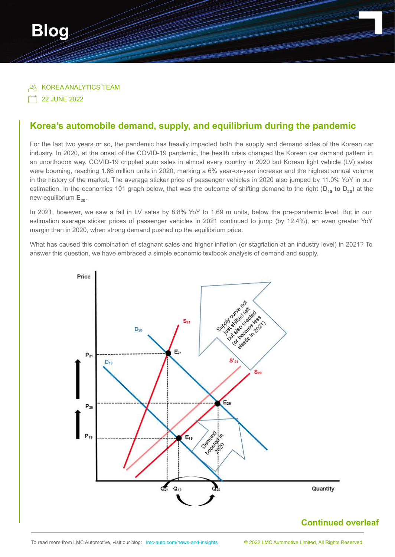

**PR KOREA ANALYTICS TEAM** 

**22 JUNE 2022** 

## **Korea's automobile demand, supply, and equilibrium during the pandemic**

For the last two years or so, the pandemic has heavily impacted both the supply and demand sides of the Korean car industry. In 2020, at the onset of the COVID-19 pandemic, the health crisis changed the Korean car demand pattern in an unorthodox way. COVID-19 crippled auto sales in almost every country in 2020 but Korean light vehicle (LV) sales were booming, reaching 1.86 million units in 2020, marking a 6% year-on-year increase and the highest annual volume in the history of the market. The average sticker price of passenger vehicles in 2020 also jumped by 11.0% YoY in our estimation. In the economics 101 graph below, that was the outcome of shifting demand to the right (D<sub>19</sub> to D<sub>20</sub>) at the new equilibrium  $E_{20}$ .

In 2021, however, we saw a fall in LV sales by 8.8% YoY to 1.69 m units, below the pre-pandemic level. But in our estimation average sticker prices of passenger vehicles in 2021 continued to jump (by 12.4%), an even greater YoY margin than in 2020, when strong demand pushed up the equilibrium price.

What has caused this combination of stagnant sales and higher inflation (or stagflation at an industry level) in 2021? To answer this question, we have embraced a simple economic textbook analysis of demand and supply.



## **Continued overleaf**